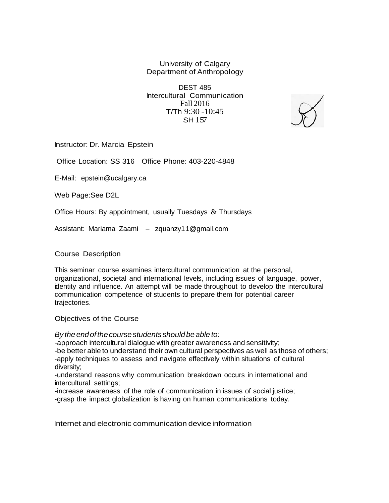University of Calgary Department of Anthropology

DEST 485 lntercultural Communication Fall 2016 T/Th 9:30 -10:45 SH 157

Instructor: Dr. Marcia Epstein

Office Location: SS 316 Office Phone: 403-220-4848

E-Mail: [epstein@ucalgary.ca](mailto:epstein@ucalgary.ca)

Web Page:See D2L

Office Hours: By appointment, usually Tuesdays  $\&$  Thursdays

Assistant: Mariama Zaami - zquanzy[11@gmail.com](mailto:1@gmail.com)

Course Description

This seminar course examines intercultural communication at the personal, organizational, societal and international levels, including issues of language, power, identity and influence. An attempt will be made throughout to develop the intercultural communication competence of students to prepare them for potential career trajectories.

Objectives of the Course

*By theendofthecoursestudents shouldbe able to:*

-approach intercultural dialogue with greater awareness and sensitivity;

-be better able to understand their own cultural perspectives as well as those of others; -apply techniques to assess and navigate effectively within situations of cultural diversity;

-understand reasons why communication breakdown occurs in international and intercultural settings;

-increase awareness of the role of communication in issues of social justice;

-grasp the impact globalization is having on human communications today.

Internet and electronic communication device information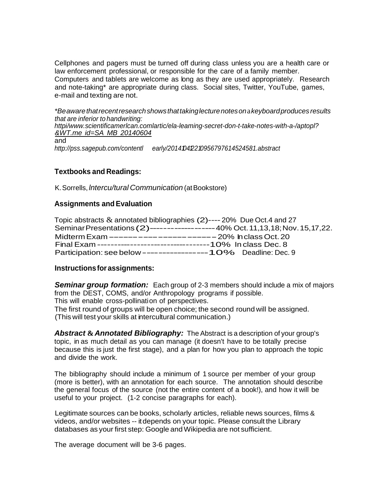Cellphones and pagers must be turned off during class unless you are a health care or law enforcement professional, or responsible for the care of a family member. Computers and tablets are welcome as long as they are used appropriately. Research and note-taking\* are appropriate during class. Social sites, Twitter, YouTube, games, e-mail and texting are not.

*\*Beawarethatrecentresearchshowsthattakinglecturenoteson*a*keyboardproduces results that are inferior to handwriting: [httpi/www.scientificamerlcan.comlartic/ela-leaming-secret-don-t-take-notes-with-a-/aptopl?](http://www.scientificamerlcan.comlartic/ela-leaming-secret-don-t-take-notes-with-a-/aptopl) &WT.me id=SA MB 20140604*

and

*<http://pss.sagepub.com/contentl>early/201410412210956797614524581.abstract*

### **Textbooks and Readings:**

K.Sorrells, *lntercu/tural Communication* (atBookstore)

### **Assignments and Evaluation**

| Topic abstracts $\&$ annotated bibliographies (2)---- 20% Due Oct.4 and 27       |  |
|----------------------------------------------------------------------------------|--|
| Seminar Presentations (2)------------------40% Oct. 11, 13, 18; Nov. 15, 17, 22. |  |
|                                                                                  |  |
|                                                                                  |  |
|                                                                                  |  |

#### **Instructionsfor assignments:**

*Seminar group formation:* Each group of 2-3 members should include a mix of majors from the DEST, COMS, and/or Anthropology programs if possible. This will enable cross-pollination of perspectives. The first round of groups will be open choice; the second round will be assigned.

(This will test your skills at intercultural communication.)

*Abstract* **&***Annotated Bibliography:* The Abstract is a description of your group's topic, in as much detail as you can manage (it doesn't have to be totally precise because this is just the first stage), and a plan for how you plan to approach the topic and divide the work.

The bibliography should include a minimum of 1 source per member of your group (more is better), with an annotation for each source. The annotation should describe the general focus of the source (not the entire content of a book!), and how it will be useful to your project. (1-2 concise paragraphs for each).

Legitimate sources can be books, scholarly articles, reliable news sources, films & videos, and/or websites -- itdepends on your topic. Please consult the Library databases as your first step: Google andWikipedia are not sufficient.

The average document will be 3-6 pages.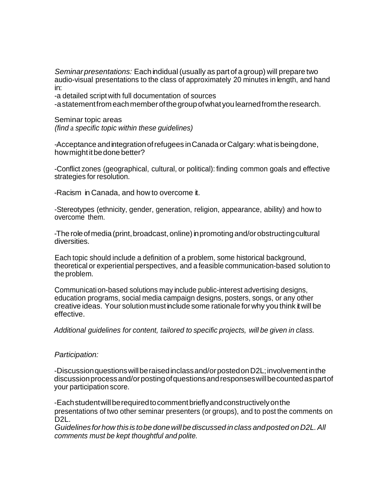*Seminarpresentations:* Eachindidual (usually as partof a group) will prepare two audio-visual presentations to the class of approximately 20 minutes in length, and hand in:

-a detailed script with full documentation of sources

-astatementfromeachmemberofthegroupofwhatyoulearnedfromtheresearch.

Seminar topic areas *(find* a *specific topic within these guidelines)*

-Acceptance andintegrationofrefugees inCanada orCalgary:what isbeingdone, how might it be done better?

-Conflict zones (geographical, cultural, or political): finding common goals and effective strategies for resolution.

-Racism in Canada, and how to overcome it.

-Stereotypes (ethnicity, gender, generation, religion, appearance, ability) and how to overcome them.

-The role of media (print, broadcast, online) in promoting and/or obstructing cultural diversities.

Each topic should include a definition of a problem, some historical background, theoretical or experiential perspectives, and a feasible communication-based solution to the problem.

Communication-based solutions may include public-interest advertising designs, education programs, social media campaign designs, posters, songs, or any other creative ideas. Your solutionmustinclude some rationaleforwhy you think itwill be effective.

*Additional guidelines for content, tailored to specific projects, will be given in class.*

#### *Participation:*

-Discussionquestionswillberaisedinclassand/orpostedonD2L;involvementinthe discussionprocessand/orpostingofquestionsandresponseswillbecountedaspartof your participation score.

-Eachstudentwillberequiredtocommentbrieflyandconstructivelyonthe presentations of two other seminar presenters (or groups), and to post the comments on D2L.

*Guidelinesforhow thisis tobe donewillbediscussed in class andposted onD2L.All comments must be kept thoughtful and polite.*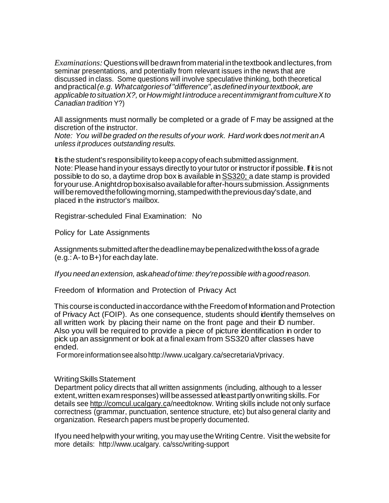*Examinations:*Questionswillbedrawnfrommaterial inthetextbook andlectures,from seminar presentations, and potentially from relevant issues in the news that are discussed in class. Some questions will involve speculative thinking, both theoretical andpractical*(e.g. Whatcatgoriesof"difference",*as*definedinyourtextbook,are applicable tosituationX?,* or*Howmight Iintroduce*a*recentimmigrant fromcultureXto Canadian tradition* Y?)

All assignments must normally be completed or a grade of F may be assigned at the discretion of the instructor.

*Note: You willbe graded on the results of your work. Hard work* does *not merit anA unless it produces outstanding results.*

It is the student's responsibility to keep a copy of each submitted assignment. Note: Please hand in your essays directly to your tutor or instructor if possible. If it is not possible to do so, a daytime drop box is available inSS320; a date stamp is provided for your use. A night drop boxisalso available for after-hours submission. Assignments will be removed the following morning, stamped with the previous day's date, and placed in the instructor's mailbox.

Registrar-scheduled Final Examination: No

Policy for Late Assignments

Assignments submittedafterthedeadlinemaybepenalizedwiththelossofagrade  $(e.g.: A-to B+)$  for each day late.

*Ifyou needanextension,* ask*aheadoftime: they'repossible with*a*goodreason.*

Freedom of Information and Protection of Privacy Act

This course isconducted inaccordance withtheFreedomof InformationandProtection of Privacy Act (FOIP). As one consequence, students should identify themselves on all written work by placing their name on the front page and their ID number. Also you will be required to provide a piece of picture identification in order to pick up an assignment or look at a final exam from SS320 after classes have ended.

Formoreinformationseeals[ohttp://www.ucalgary.ca/secretariaVprivacy.](http://www.ucalgary.ca/secretariaVprivacy)

#### Writing Skills Statement

Department policy directs that all written assignments (including, although to a lesser extent,writtenexamresponses)willbeassessed atleastpartlyonwriting skills.For details see [http://comcul.ucalg](http://comcul.ucal/)ary.ca/needtoknow. Writing skills include not only surface correctness (grammar, punctuation, sentence structure, etc) but also general clarity and organization. Research papers must be properly documented.

Ifyou need helpwithyour writing, you may usetheWriting Centre. Visit thewebsitefor more details: http://www.ucalgary. ca/ssc/writing-support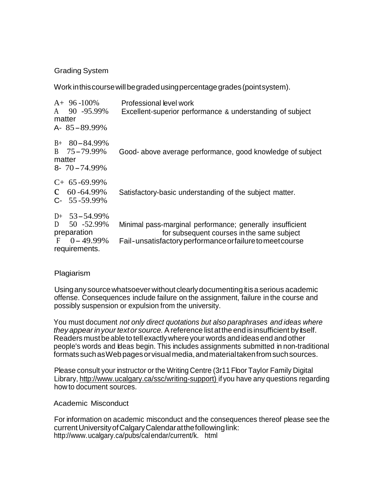### Grading System

Work inthiscoursewillbegradedusingpercentagegrades(pointsystem).

| $A+96-100%$<br>90 -95.99%<br>$\mathsf{A}$<br>matter<br>A- $85 - 89.99\%$                 | Professional level work<br>Excellent-superior performance & understanding of subject                                                                                 |
|------------------------------------------------------------------------------------------|----------------------------------------------------------------------------------------------------------------------------------------------------------------------|
| $B+80-84.99\%$<br>B 75-79.99%<br>matter<br>$8 - 70 - 74.99\%$                            | Good-above average performance, good knowledge of subject                                                                                                            |
| $C+65-69.99\%$<br>$C = 60 - 64.99\%$<br>$C-55-59.99\%$                                   | Satisfactory-basic understanding of the subject matter.                                                                                                              |
| $D+ 53-54.99\%$<br>D<br>50 - 52.99%<br>preparation<br>$F = 0 - 49.99\%$<br>requirements. | Minimal pass-marginal performance; generally insufficient<br>for subsequent courses in the same subject<br>Fail-unsatisfactory performance or failure to meet course |

#### Plagiarism

Usingany sourcewhatsoever without clearlydocumentingitisaserious academic offense. Consequences include failure on the assignment, failure in the course and possibly suspension or expulsion from the university.

You must document *not only direct quotations but also paraphrases and ideas where they appearinyour textor source.*Areference listatthe end isinsufficient by itself. Readers must be able to tell exactly where your words and ideas end and other people's words and Ideas begin. This includes assignments submitted in non-traditional formats suchasWebpagesorvisualmedia,andmaterialtakenfromsuchsources.

Please consult your instructor orthe Writing Centre (3r11 Floor Taylor Family Digital Library, [http://www.u](http://www/)calgary.ca/ssc/writing-support) if you have any questions regarding how to document sources.

#### Academic Misconduct

For information on academic misconduct and the consequences thereof please see the currentUniversityofCalgaryCalendaratthefollowinglink: [http://www.ucalgary.ca/pubs/cale](http://www.ucalgary.ca/pubs/cal)ndar/current/k. html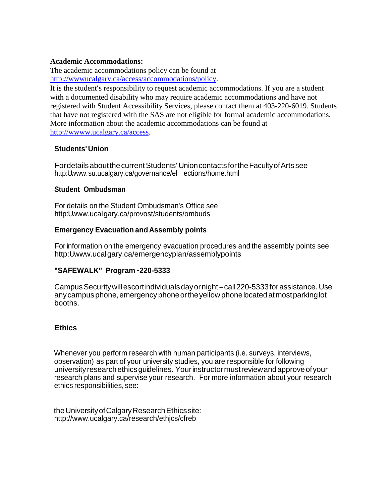#### **Academic Accommodations:**

The academic accommodations policy can be found at [http://wwwucalgary.ca/access/accommodations/policy.](http://wwwucalgary.ca/access/accommodations/policy)

It is the student's responsibility to request academic accommodations. If you are a student with a documented disability who may require academic accommodations and have not registered with Student Accessibility Services, please contact them at 403-220-6019. Students that have not registered with the SAS are not eligible for formal academic accommodations. More information about the academic accommodations can be found at [http://wwww.ucalgary.ca/access.](http://wwww.ucalgary.ca/access)

### **Students'Union**

FordetailsaboutthecurrentStudents' UnioncontactsfortheFacultyofArts see http:[Uwww.su.ucalgary.ca/governance/el](http://www.su.ucalgary.ca/governance/el) ections/home.html

#### **Student Ombudsman**

For details on the Student Ombudsman's Office see http:[Uwww.ucalgary.ca/provost/students/ombuds](http://www.ucalgary.ca/provost/students/ombuds)

# **Emergency Evacuation andAssembly points**

For information on the emergency evacuation procedures and the assembly points see http:[Uwww.ucalgary.ca/emergencyplan/assemblypoints](http://www.ucalgary.ca/emergencyplan/assemblypoints)

# **"SAFEWALK" Program ··220-5333**

Campus Security will escort individuals day or night - call 220-5333 for assistance. Use any campus phone, emergency phone or the yellow phone located at most parking lot booths.

# **Ethics**

Whenever you perform research with human participants (i.e. surveys, interviews, observation) as part of your university studies, you are responsible for following university research ethics guidelines. Your instructor must review and approve of your research plans and supervise your research. For more information about your research ethics responsibilities, see:

the University of Calgary Research Ethics site[:](http://www.ucalgary.ca/research/ethjcs/cfreb) <http://www.ucalgary.ca/research/ethjcs/cfreb>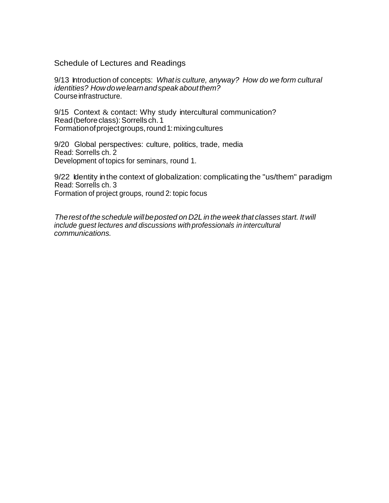Schedule of Lectures and Readings

9/13 Introduction of concepts: *What is culture, anyway? How do we form cultural identities? Howdowelearnandspeak aboutthem?* Course infrastructure.

9/15 Context & contact: Why study intercultural communication? Read(beforeclass):Sorrells ch. 1 Formation of project groups, round 1: mixing cultures

9/20 Global perspectives: culture, politics, trade, media Read: Sorrells ch. 2 Development of topics for seminars, round 1.

9/22 Identity in the context of globalization: complicating the "us/them" paradigm Read: Sorrells ch. 3 Formation of project groups, round 2: topic focus

*Therest ofthe schedule willbeposted on D2L in theweek that classes start. Itwill include guest lectures and discussions with professionals in intercultural communications.*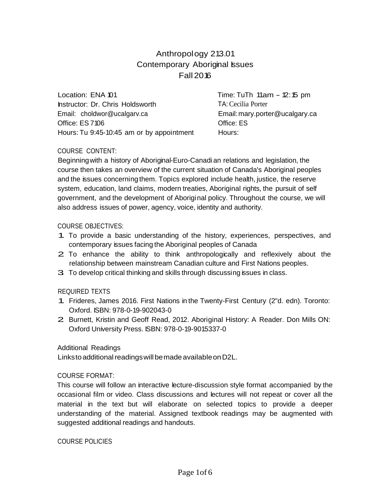# Anthropology 213.01 Contemporary Aboriginal Issues Fall 2016

Location: ENA 101 Instructor: Dr. Chris Holdsworth Email: [choldwor@ucalgarv.ca](mailto:choldwor@ucalgarv.ca) Office: ES 7106 Hours: Tu 9:45-10:45 am or by appointment Time: TuTh 11am - 12:15 pm TA:Cecilia Porter Email[:mary.porter@ucalgary.ca](mailto:mary.porter@ucalgary.ca) Office: ES Hours:

### COURSE CONTENT:

Beginningwith a history of Aboriginal-Euro-Canadi an relations and legislation, the course then takes an overview of the current situation of Canada's Aboriginal peoples and the issues concerning them. Topics explored include health, justice, the reserve system, education, land claims, modern treaties, Aboriginal rights, the pursuit of self government, and the development of Aboriginal policy. Throughout the course, we will also address issues of power, agency, voice, identity and authority.

#### COURSE OBJECTIVES:

- 1. To provide a basic understanding of the history, experiences, perspectives, and contemporary issues facing the Aboriginal peoples of Canada
- 2. To enhance the ability to think anthropologically and reflexively about the relationship between mainstream Canadian culture and First Nations peoples.
- 3. To develop critical thinking and skills through discussing issues in class.

#### REQUIRED TEXTS

- 1. Frideres, James 2016. First Nations in the Twenty-First Century (2"d. edn). Toronto: Oxford. ISBN: 978-0-19-902043-0
- 2. Burnett, Kristin and Geoff Read, 2012. Aboriginal History: <sup>A</sup> Reader. Don Mills ON: Oxford University Press. ISBN: 978-0-19-9015337-0

#### Additional Readings

Linksto additional readings will be made available on D2L.

#### COURSE FORMAT:

This course will follow an interactive lecture-discussion style format accompanied by the occasional film or video. Class discussions and lectures will not repeat or cover all the material in the text but will elaborate on selected topics to provide a deeper understanding of the material. Assigned textbook readings may be augmented with suggested additional readings and handouts.

#### COURSE POLICIES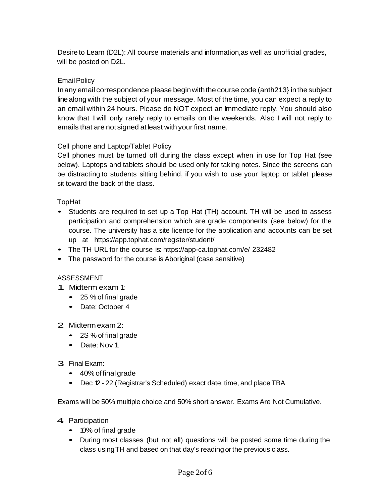Desire to Learn (D2L): All course materials and information,as well as unofficial grades, will be posted on D2L.

### **Email Policy**

Inany email correspondence please beginwiththe course code (anth213} inthe subject linealong with the subject of your message. Most of the time, you can expect a reply to an email within 24 hours. Please do NOT expect an Immediate reply. You should also know that I will only rarely reply to emails on the weekends. Also I will not reply to emails that are not signed at least with your first name.

#### Cell phone and Laptop/Tablet Policy

Cell phones must be turned off during the class except when in use for Top Hat (see below). Laptops and tablets should be used only for taking notes. Since the screens can be distracting to students sitting behind, if you wish to use your laptop or tablet please sit toward the back of the class.

### TopHat

- Students are required to set up <sup>a</sup> Top Hat (TH) account. TH will be used to assess participation and comprehension which are grade components (see below) for the course. The university has a site licence for the application and accounts can be set up at https://app.tophat.com/register/student/
- The TH URL for the course is: https://app-ca.tophat.com/e/ 232482
- The password for the course is Aboriginal (case sensitive)

#### ASSESSMENT

- 1. Midterm exam 1:
	- <sup>25</sup> % of final grade
	- Date: October 4

#### 2. Midtermexam 2:

- 2S % of final grade
- Date:Nov1

# 3. Final Exam:

- 40%offinal grade
- Dec 12 22 (Registrar's Scheduled) exact date, time, and place TBA

Exams will be 50% multiple choice and 50% short answer. Exams Are Not Cumulative.

- 4 Participation
	- 10% of final grade
	- During most classes (but not all) questions will be posted some time during the class usingTH and based on that day's reading orthe previous class.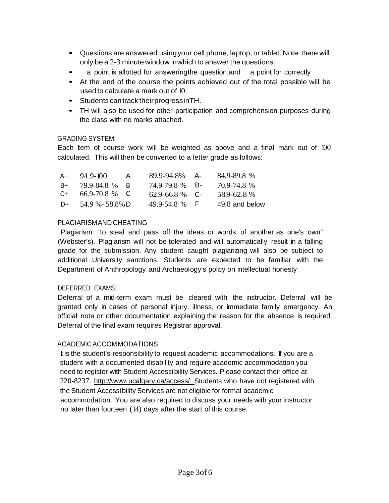- Questions are answered using your cell phone, laptop, or tablet. Note: there will only be a 2-3 minute window inwhich to answer the questions.
- <sup>a</sup> point is allotted for answeringthe question,and <sup>a</sup> point for correctly
- At the end of the course the points achieved out of the total possible will be used to calculate a mark out of 10.
- Students cantrack theirprogress inTH.
- TH will also be used for other participation and comprehension purposes during the class with no marks attached.

# GRADING SYSTEM:

Each Item of course work will be weighted as above and a final mark out of 100 calculated. This will then be converted to a letter grade as follows:

| A+   | $94.9 - 100$      | $\mathsf{A}$ | 89.9-94.8% A-       | 84.9-89.8%     |
|------|-------------------|--------------|---------------------|----------------|
| B+   | 79.9-84.8 % B     |              | 74.9-79.8 % B-      | 70.9-74.8%     |
| $C+$ | $66.9 - 70.8$ % C |              | $62.9 - 66.8 \%$ C- | 58.9-62.8%     |
| $D+$ | 54.9 % - 58.8% D  |              | 49.9-54.8 % F       | 49.8 and below |

# PLAGIARISMAND CHEATING

Plagiarism: "to steal and pass off the ideas or words of another as one's own" (Webster's). Plagiarism will not be tolerated and will automatically result in a falling grade for the submission. Any student caught plagiarizing will also be subject to additional University sanctions. Students are expected to be familiar with the Department of Anthropology and Archaeology's policy on intellectual honesty

# DEFERRED EXAMS:

Deferral of a mid-term exam must be cleared with the instructor. Deferral will be granted only in cases of personal injury, illness, or immediate family emergency. An official note or other documentation explaining the reason for the absence is required. Deferral of the final exam requires Registrar approval.

# ACADEMICACCOMMODATIONS

**I** is the student's responsibility to request academic accommodations. **I**f you are a student with a documented disability and require academic accommodation you need to register with Student Accessibility Services. Please contact their office at 220-8237. [http://www.u](http://www/)calgarv.ca/access/ Students who have not registered with the Student Accessibility Services are not eligible for formal academic accommodation. You are also required to discuss your needs with your instructor no later than fourteen (14) days after the start of this course.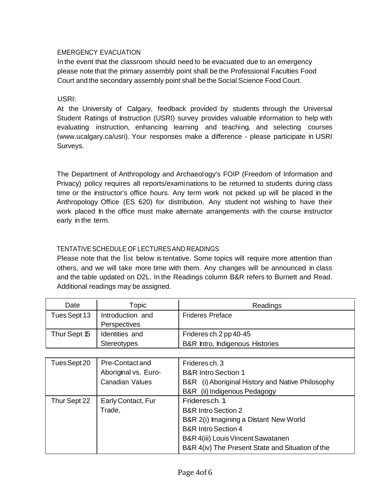# EMERGENCY EVACUATION

In the event that the classroom should need to be evacuated due to an emergency please note that the primary assembly point shall be the Professional Faculties Food Court and the secondary assembly point shall be the Social Science Food Court.

USRI:

At the University of Calgary, feedback provided by students through the Universal Student Ratings of Instruction (USRI) survey provides valuable information to help with evaluating instruction, enhancing learning and teaching, and selecting courses [\(www.ucalgary.ca/usri\).](http://www.ucalgary.ca/usri)) Your responses make a difference - please participate in USRI Surveys.

The Department of Anthropology and Archaeology's FOIP (Freedom of Information and Privacy) policy requires all reports/examinations to be returned to students during class time or the instructor's office hours. Any term work not picked up will be placed in the Anthropology Office (ES 620) for distribution. Any student not wishing to have their work placed In the office must make alternate arrangements with the course instructor early in the term.

# TENTATIVE SCHEDULE OF LECTURESAND READINGS

Please note that the list below is tentative. Some topics will require more attention than others, and we will take more time with them. Any changes will be announced in class and the table updated on D2L. In the Readings column B&R refers to Burnett and Read. Additional readings may be assigned.

| Date         | Topic                | Readings                                                    |
|--------------|----------------------|-------------------------------------------------------------|
| Tues Sept 13 | Introduction and     | <b>Frideres Preface</b>                                     |
|              | Perspectives         |                                                             |
| Thur Sept 15 | Identities and       | Frideres ch.2 pp 40-45                                      |
|              | <b>Stereotypes</b>   | B&R Intro, Indigenous Histories                             |
|              |                      |                                                             |
| Tues Sept 20 | Pre-Contact and      | Frideres ch. 3                                              |
|              | Aboriginal vs. Euro- | <b>B&amp;R Intro Section 1</b>                              |
|              | Canadian Values      | <b>B&amp;R</b> (i) Aboriginal History and Native Philosophy |

|              | ADUILUILICI VS. EUIU-  | DON THUU JUUUTI T                                |
|--------------|------------------------|--------------------------------------------------|
|              | <b>Canadian Values</b> | B&R (i) Aboriginal History and Native Philosophy |
|              |                        | B&R (ii) Indigenous Pedagogy                     |
| Thur Sept 22 | Early Contact, Fur     | Frideresch. 1                                    |
|              | Trade,                 | <b>B&amp;R Intro Section 2</b>                   |
|              |                        | B&R 2(i) Imagining a Distant New World           |
|              |                        | <b>B&amp;R Intro Section 4</b>                   |
|              |                        | B&R 4(iii) Louis Vincent Sawatanen               |
|              |                        | B&R 4(iv) The Present State and Situation of the |